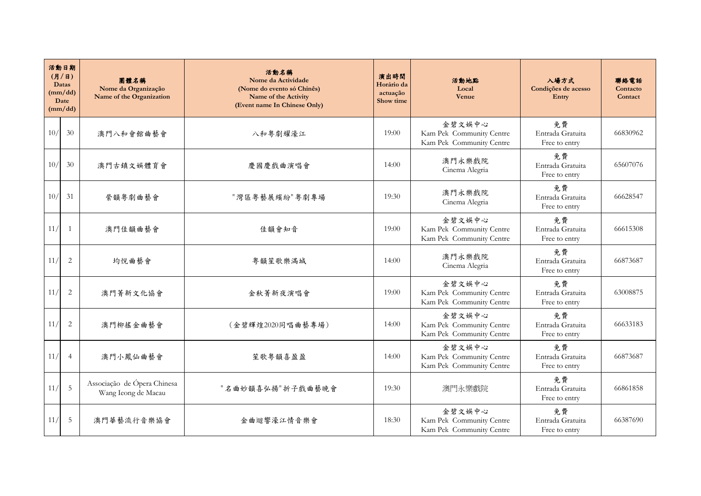|     | 活動日期<br>$($ 月 $/$ 日)<br>Datas<br>(mm/dd)<br>Date<br>(mm/dd) | 團體名稱<br>Nome da Organização<br>Name of the Organization | 活動名稱<br>Nome da Actividade<br>(Nome do evento só Chinês)<br>Name of the Activity<br>(Event name In Chinese Only) | 演出時間<br>Horário da<br>actuação<br>Show time | 活動地點<br>Local<br>Venue                                         | 入場方式<br>Condições de acesso<br>Entry    | 聯絡電話<br>Contacto<br>Contact |
|-----|-------------------------------------------------------------|---------------------------------------------------------|------------------------------------------------------------------------------------------------------------------|---------------------------------------------|----------------------------------------------------------------|-----------------------------------------|-----------------------------|
| 10/ | 30                                                          | 澳門八和會館曲藝會                                               | 八和粤劇耀濠江                                                                                                          | 19:00                                       | 金碧文娱中心<br>Kam Pek Community Centre<br>Kam Pek Community Centre | 免費<br>Entrada Gratuita<br>Free to entry | 66830962                    |
| 10/ | 30                                                          | 澳門古鎮文娛體育會                                               | 慶國慶戲曲演唱會                                                                                                         | 14:00                                       | 澳門永樂戲院<br>Cinema Alegria                                       | 免費<br>Entrada Gratuita<br>Free to entry | 65607076                    |
| 10/ | 31                                                          | 縈韻粤劇曲藝會                                                 | "灣區粤藝展繽紛"粤劇專場                                                                                                    | 19:30                                       | 澳門永樂戲院<br>Cinema Alegria                                       | 免費<br>Entrada Gratuita<br>Free to entry | 66628547                    |
| 11/ | $\overline{1}$                                              | 澳門佳韻曲藝會                                                 | 佳韻會知音                                                                                                            | 19:00                                       | 金碧文娱中心<br>Kam Pek Community Centre<br>Kam Pek Community Centre | 免費<br>Entrada Gratuita<br>Free to entry | 66615308                    |
| 11/ | $\overline{2}$                                              | 均悦曲藝會                                                   | 粤韻笙歌樂滿城                                                                                                          | 14:00                                       | 澳門永樂戲院<br>Cinema Alegria                                       | 免費<br>Entrada Gratuita<br>Free to entry | 66873687                    |
| 11/ | $\overline{2}$                                              | 澳門菁新文化協會                                                | 金秋菁新夜演唱會                                                                                                         | 19:00                                       | 金碧文娱中心<br>Kam Pek Community Centre<br>Kam Pek Community Centre | 免費<br>Entrada Gratuita<br>Free to entry | 63008875                    |
| 11/ | $\overline{2}$                                              | 澳門柳搖金曲藝會                                                | (金碧輝煌2020同唱曲藝專場)                                                                                                 | 14:00                                       | 金碧文娱中心<br>Kam Pek Community Centre<br>Kam Pek Community Centre | 免費<br>Entrada Gratuita<br>Free to entry | 66633183                    |
| 11/ | $\overline{4}$                                              | 澳門小鳳仙曲藝會                                                | 笙歌粤韻喜盈盈                                                                                                          | 14:00                                       | 金碧文娱中心<br>Kam Pek Community Centre<br>Kam Pek Community Centre | 免費<br>Entrada Gratuita<br>Free to entry | 66873687                    |
| 11/ | 5                                                           | Associação de Ópera Chinesa<br>Wang Ieong de Macau      | "名曲妙韻喜弘揚"折子戲曲藝晚會                                                                                                 | 19:30                                       | 澳門永樂戲院                                                         | 免費<br>Entrada Gratuita<br>Free to entry | 66861858                    |
| 11/ | 5                                                           | 澳門華藝流行音樂協會                                              | 金曲迴響濠江情音樂會                                                                                                       | 18:30                                       | 金碧文娱中心<br>Kam Pek Community Centre<br>Kam Pek Community Centre | 免費<br>Entrada Gratuita<br>Free to entry | 66387690                    |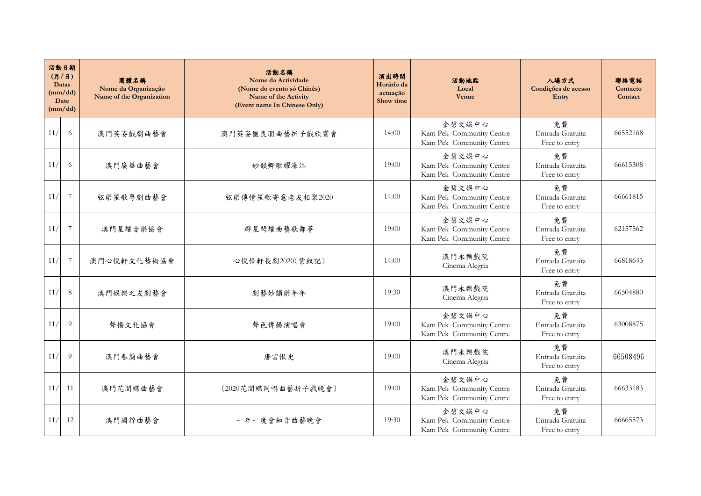|     | 活動日期<br>(JJ/JI)<br>Datas<br>(mm/dd)<br>Date<br>(mm/dd) | 團體名稱<br>Nome da Organização<br>Name of the Organization | 活動名稱<br>Nome da Actividade<br>(Nome do evento só Chinês)<br>Name of the Activity<br>(Event name In Chinese Only) | 演出時間<br>Horário da<br>actuação<br>Show time | 活動地點<br>Local<br>Venue                                         | 入場方式<br>Condições de acesso<br>Entry    | 聯絡電話<br>Contacto<br>Contact |
|-----|--------------------------------------------------------|---------------------------------------------------------|------------------------------------------------------------------------------------------------------------------|---------------------------------------------|----------------------------------------------------------------|-----------------------------------------|-----------------------------|
| 11/ | 6                                                      | 澳門英姿戲劇曲藝會                                               | 澳門英姿匯良朋曲藝折子戲欣賞會                                                                                                  | 14:00                                       | 金碧文娱中心<br>Kam Pek Community Centre<br>Kam Pek Community Centre | 免費<br>Entrada Gratuita<br>Free to entry | 66552168                    |
| 11/ | 6                                                      | 澳門廣華曲藝會                                                 | 妙韻卿歌耀濠江                                                                                                          | 19:00                                       | 金碧文娱中心<br>Kam Pek Community Centre<br>Kam Pek Community Centre | 免費<br>Entrada Gratuita<br>Free to entry | 66615308                    |
| 11/ | 7                                                      | 弦樂笙歌粤劇曲藝會                                               | 弦樂傳情笙歌寄意老友相聚2020                                                                                                 | 14:00                                       | 金碧文娱中心<br>Kam Pek Community Centre<br>Kam Pek Community Centre | 免費<br>Entrada Gratuita<br>Free to entry | 66661815                    |
| 11/ | 7                                                      | 澳門星耀音樂協會                                                | 群星閃耀曲藝歌舞薈                                                                                                        | 19:00                                       | 金碧文娱中心<br>Kam Pek Community Centre<br>Kam Pek Community Centre | 免費<br>Entrada Gratuita<br>Free to entry | 62157562                    |
| 11/ | $\overline{7}$                                         | 澳門心悅軒文化藝術協會                                             | 心悅情軒長劇2020(紫釵記)                                                                                                  | 14:00                                       | 澳門永樂戲院<br>Cinema Alegria                                       | 免費<br>Entrada Gratuita<br>Free to entry | 66818643                    |
| 11/ | 8                                                      | 澳門娛樂之友劇藝會                                               | 劇藝妙韻樂年年                                                                                                          | 19:30                                       | 澳門永樂戲院<br>Cinema Alegria                                       | 免費<br>Entrada Gratuita<br>Free to entry | 66504880                    |
| 11/ | 9                                                      | 聲揚文化協會                                                  | 聲色傳揚演唱會                                                                                                          | 19:00                                       | 金碧文娱中心<br>Kam Pek Community Centre<br>Kam Pek Community Centre | 免費<br>Entrada Gratuita<br>Free to entry | 63008875                    |
| 11/ | 9                                                      | 澳門春蘭曲藝會                                                 | 唐宮恨史                                                                                                             | 19:00                                       | 澳門永樂戲院<br>Cinema Alegria                                       | 免費<br>Entrada Gratuita<br>Free to entry | 66508496                    |
| 11/ | 11                                                     | 澳門花間蝶曲藝會                                                | (2020花間蝶同唱曲藝折子戲晚會)                                                                                               | 19:00                                       | 金碧文娱中心<br>Kam Pek Community Centre<br>Kam Pek Community Centre | 免費<br>Entrada Gratuita<br>Free to entry | 66633183                    |
| 11/ | 12                                                     | 澳門國粹曲藝會                                                 | 一年一度會知音曲藝晚會                                                                                                      | 19:30                                       | 金碧文娱中心<br>Kam Pek Community Centre<br>Kam Pek Community Centre | 免費<br>Entrada Gratuita<br>Free to entry | 66665573                    |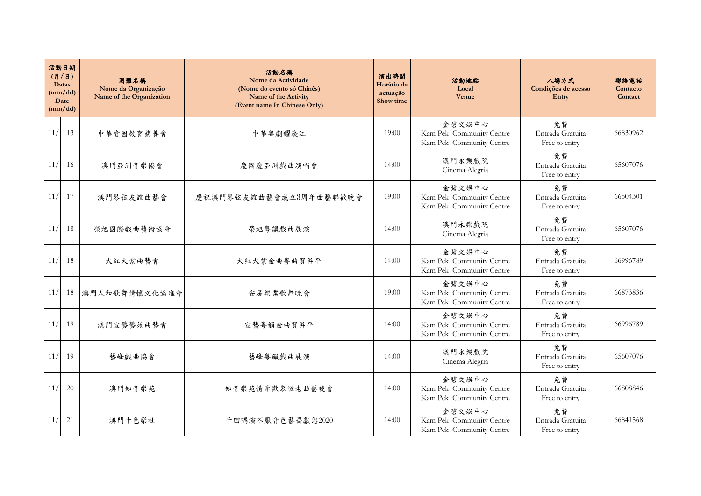| 活動日期<br>$($ 月 $/$ 日)<br>Datas<br>(mm/dd)<br>Date<br>(mm/dd) |    | 團體名稱<br>Nome da Organização<br>Name of the Organization | 活動名稱<br>Nome da Actividade<br>(Nome do evento só Chinês)<br>Name of the Activity<br>(Event name In Chinese Only) | 演出時間<br>Horário da<br>actuação<br>Show time | 活動地點<br>Local<br><b>Venue</b>                                  | 入場方式<br>Condições de acesso<br>Entry    | 聯絡電話<br>Contacto<br>Contact |
|-------------------------------------------------------------|----|---------------------------------------------------------|------------------------------------------------------------------------------------------------------------------|---------------------------------------------|----------------------------------------------------------------|-----------------------------------------|-----------------------------|
| 11/                                                         | 13 | 中華愛國教育慈善會                                               | 中華粤劇耀濠江                                                                                                          | 19:00                                       | 金碧文娱中心<br>Kam Pek Community Centre<br>Kam Pek Community Centre | 免費<br>Entrada Gratuita<br>Free to entry | 66830962                    |
| 11/                                                         | 16 | 澳門亞洲音樂協會                                                | 慶國慶亞洲戲曲演唱會                                                                                                       | 14:00                                       | 澳門永樂戲院<br>Cinema Alegria                                       | 免費<br>Entrada Gratuita<br>Free to entry | 65607076                    |
| 11/                                                         | 17 | 澳門琴弦友誼曲藝會                                               | 慶祝澳門琴弦友誼曲藝會成立3周年曲藝聯歡晚會                                                                                           | 19:00                                       | 金碧文娱中心<br>Kam Pek Community Centre<br>Kam Pek Community Centre | 免費<br>Entrada Gratuita<br>Free to entry | 66504301                    |
| 11/                                                         | 18 | 榮旭國際戲曲藝術協會                                              | 榮旭粤韻戲曲展演                                                                                                         | 14:00                                       | 澳門永樂戲院<br>Cinema Alegria                                       | 免費<br>Entrada Gratuita<br>Free to entry | 65607076                    |
| 11/                                                         | 18 | 大紅大紫曲藝會                                                 | 大紅大紫金曲粤曲賀昇平                                                                                                      | 14:00                                       | 金碧文娱中心<br>Kam Pek Community Centre<br>Kam Pek Community Centre | 免費<br>Entrada Gratuita<br>Free to entry | 66996789                    |
| 11/                                                         | 18 | 澳門人和歌舞情懷文化協進會                                           | 安居樂業歌舞晚會                                                                                                         | 19:00                                       | 金碧文娱中心<br>Kam Pek Community Centre<br>Kam Pek Community Centre | 免費<br>Entrada Gratuita<br>Free to entry | 66873836                    |
| 11/                                                         | 19 | 澳門宣藝藝苑曲藝會                                               | 宣藝粤韻金曲賀昇平                                                                                                        | 14:00                                       | 金碧文娱中心<br>Kam Pek Community Centre<br>Kam Pek Community Centre | 免費<br>Entrada Gratuita<br>Free to entry | 66996789                    |
| 11/                                                         | 19 | 藝峰戲曲協會                                                  | 藝峰粤韻戲曲展演                                                                                                         | 14:00                                       | 澳門永樂戲院<br>Cinema Alegria                                       | 免費<br>Entrada Gratuita<br>Free to entry | 65607076                    |
| 11/                                                         | 20 | 澳門知音樂苑                                                  | 知音樂苑情牽歡聚敬老曲藝晚會                                                                                                   | 14:00                                       | 金碧文娱中心<br>Kam Pek Community Centre<br>Kam Pek Community Centre | 免費<br>Entrada Gratuita<br>Free to entry | 66808846                    |
| 11/                                                         | 21 | 澳門千色樂社                                                  | 千回唱演不厭音色藝齊獻您2020                                                                                                 | 14:00                                       | 金碧文娱中心<br>Kam Pek Community Centre<br>Kam Pek Community Centre | 免費<br>Entrada Gratuita<br>Free to entry | 66841568                    |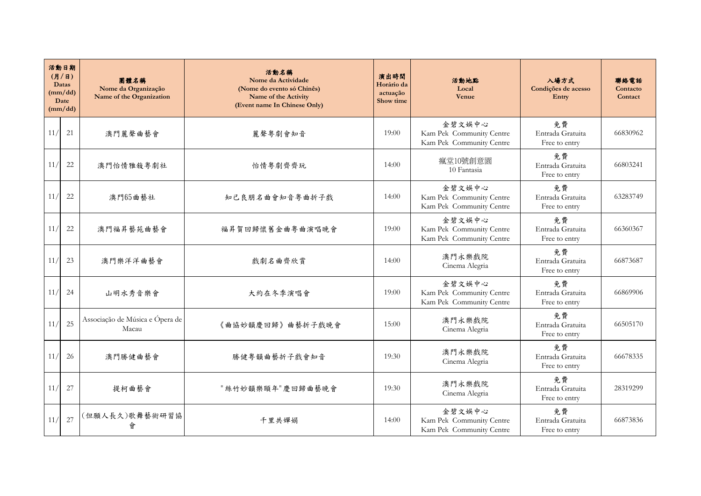|     | 活動日期<br>(JJ/JI)<br>Datas<br>(mm/dd)<br>Date<br>(mm/dd) | 團體名稱<br>Nome da Organização<br>Name of the Organization | 活動名稱<br>Nome da Actividade<br>(Nome do evento só Chinês)<br>Name of the Activity<br>(Event name In Chinese Only) | 演出時間<br>Horário da<br>actuação<br>Show time | 活動地點<br>Local<br>Venue                                         | 入場方式<br>Condições de acesso<br>Entry    | 聯絡電話<br>Contacto<br>Contact |
|-----|--------------------------------------------------------|---------------------------------------------------------|------------------------------------------------------------------------------------------------------------------|---------------------------------------------|----------------------------------------------------------------|-----------------------------------------|-----------------------------|
| 11/ | 21                                                     | 澳門麗聲曲藝會                                                 | 麗聲粵劇會知音                                                                                                          | 19:00                                       | 金碧文娱中心<br>Kam Pek Community Centre<br>Kam Pek Community Centre | 免費<br>Entrada Gratuita<br>Free to entry | 66830962                    |
| 11/ | 22                                                     | 澳門怡情雅敍粤劇社                                               | 怡情粤劇齊齊玩                                                                                                          | 14:00                                       | 瘋堂10號創意園<br>10 Fantasia                                        | 免費<br>Entrada Gratuita<br>Free to entry | 66803241                    |
| 11/ | 22                                                     | 澳門65曲藝社                                                 | 知己良朋名曲會知音粤曲折子戲                                                                                                   | 14:00                                       | 金碧文娱中心<br>Kam Pek Community Centre<br>Kam Pek Community Centre | 免費<br>Entrada Gratuita<br>Free to entry | 63283749                    |
| 11/ | 22                                                     | 澳門福昇藝苑曲藝會                                               | 福昇賀回歸懷舊金曲粤曲演唱晚會                                                                                                  | 19:00                                       | 金碧文娱中心<br>Kam Pek Community Centre<br>Kam Pek Community Centre | 免費<br>Entrada Gratuita<br>Free to entry | 66360367                    |
| 11/ | 23                                                     | 澳門樂洋洋曲藝會                                                | 戲劇名曲齊欣賞                                                                                                          | 14:00                                       | 澳門永樂戲院<br>Cinema Alegria                                       | 免費<br>Entrada Gratuita<br>Free to entry | 66873687                    |
| 11/ | 24                                                     | 山明水秀音樂會                                                 | 大約在冬季演唱會                                                                                                         | 19:00                                       | 金碧文娱中心<br>Kam Pek Community Centre<br>Kam Pek Community Centre | 免費<br>Entrada Gratuita<br>Free to entry | 66869906                    |
| 11/ | 25                                                     | Associação de Música e Ópera de<br>Macau                | 《曲協妙韻慶回歸》曲藝折子戲晚會                                                                                                 | 15:00                                       | 澳門永樂戲院<br>Cinema Alegria                                       | 免費<br>Entrada Gratuita<br>Free to entry | 66505170                    |
| 11/ | 26                                                     | 澳門勝健曲藝會                                                 | 勝健粤韻曲藝折子戲會知音                                                                                                     | 19:30                                       | 澳門永樂戲院<br>Cinema Alegria                                       | 免費<br>Entrada Gratuita<br>Free to entry | 66678335                    |
| 11/ | 27                                                     | 提柯曲藝會                                                   | "絲竹妙韻樂頤年"慶回歸曲藝晚會                                                                                                 | 19:30                                       | 澳門永樂戲院<br>Cinema Alegria                                       | 免費<br>Entrada Gratuita<br>Free to entry | 28319299                    |
| 11/ | 27                                                     | (但願人長久)歌舞藝術研習協<br>會                                     | 千里共嬋娟                                                                                                            | 14:00                                       | 金碧文娱中心<br>Kam Pek Community Centre<br>Kam Pek Community Centre | 免費<br>Entrada Gratuita<br>Free to entry | 66873836                    |